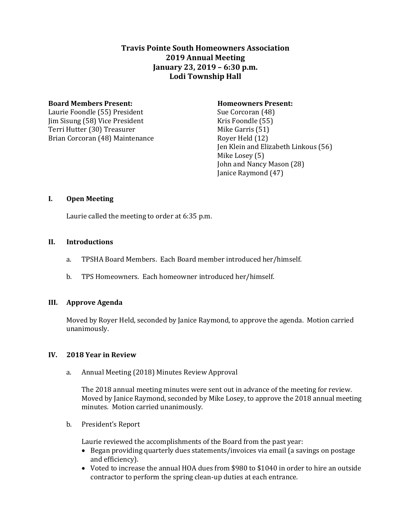# **Travis Pointe South Homeowners Association 2019 Annual Meeting January 23, 2019 – 6:30 p.m. Lodi Township Hall**

#### **Board Members Present: Homeowners Present:**

Laurie Foondle (55) President Sue Corcoran (48) Jim Sisung (58) Vice President Kris Foondle (55) Terri Hutter (30) Treasurer Mike Garris (51) Brian Corcoran (48) Maintenance Royer Held (12)

Jen Klein and Elizabeth Linkous (56) Mike Losey (5) John and Nancy Mason (28) Janice Raymond (47)

### **I. Open Meeting**

Laurie called the meeting to order at 6:35 p.m.

## **II. Introductions**

- a. TPSHA Board Members. Each Board member introduced her/himself.
- b. TPS Homeowners. Each homeowner introduced her/himself.

### **III. Approve Agenda**

Moved by Royer Held, seconded by Janice Raymond, to approve the agenda. Motion carried unanimously.

### **IV. 2018 Year in Review**

a. Annual Meeting (2018) Minutes Review Approval

The 2018 annual meeting minutes were sent out in advance of the meeting for review. Moved by Janice Raymond, seconded by Mike Losey, to approve the 2018 annual meeting minutes. Motion carried unanimously.

### b. President's Report

Laurie reviewed the accomplishments of the Board from the past year:

- Began providing quarterly dues statements/invoices via email (a savings on postage and efficiency).
- Voted to increase the annual HOA dues from \$980 to \$1040 in order to hire an outside contractor to perform the spring clean-up duties at each entrance.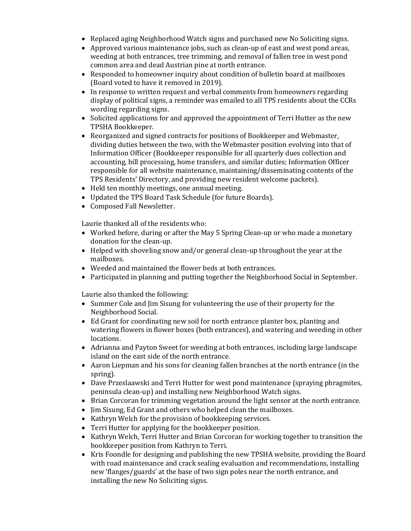- Replaced aging Neighborhood Watch signs and purchased new No Soliciting signs.
- Approved various maintenance jobs, such as clean-up of east and west pond areas, weeding at both entrances, tree trimming, and removal of fallen tree in west pond common area and dead Austrian pine at north entrance.
- Responded to homeowner inquiry about condition of bulletin board at mailboxes (Board voted to have it removed in 2019).
- In response to written request and verbal comments from homeowners regarding display of political signs, a reminder was emailed to all TPS residents about the CCRs wording regarding signs.
- Solicited applications for and approved the appointment of Terri Hutter as the new TPSHA Bookkeeper.
- Reorganized and signed contracts for positions of Bookkeeper and Webmaster, dividing duties between the two, with the Webmaster position evolving into that of Information Officer (Bookkeeper responsible for all quarterly dues collection and accounting, bill processing, home transfers, and similar duties; Information Officer responsible for all website maintenance, maintaining/disseminating contents of the TPS Residents' Directory, and providing new resident welcome packets).
- Held ten monthly meetings, one annual meeting.
- Updated the TPS Board Task Schedule (for future Boards).
- Composed Fall Newsletter.

Laurie thanked all of the residents who:

- Worked before, during or after the May 5 Spring Clean-up or who made a monetary donation for the clean-up.
- Helped with shoveling snow and/or general clean-up throughout the year at the mailboxes.
- Weeded and maintained the flower beds at both entrances.
- Participated in planning and putting together the Neighborhood Social in September.

Laurie also thanked the following:

- Summer Cole and Jim Sisung for volunteering the use of their property for the Neighborhood Social.
- Ed Grant for coordinating new soil for north entrance planter box, planting and watering flowers in flower boxes (both entrances), and watering and weeding in other locations.
- Adrianna and Payton Sweet for weeding at both entrances, including large landscape island on the east side of the north entrance.
- Aaron Liepman and his sons for cleaning fallen branches at the north entrance (in the spring).
- Dave Przeslaawski and Terri Hutter for west pond maintenance (spraying phragmites, peninsula clean-up) and installing new Neighborhood Watch signs.
- Brian Corcoran for trimming vegetation around the light sensor at the north entrance.
- Jim Sisung, Ed Grant and others who helped clean the mailboxes.
- Kathryn Welch for the provision of bookkeeping services.
- Terri Hutter for applying for the bookkeeper position.
- Kathryn Welch, Terri Hutter and Brian Corcoran for working together to transition the bookkeeper position from Kathryn to Terri.
- Kris Foondle for designing and publishing the new TPSHA website, providing the Board with road maintenance and crack sealing evaluation and recommendations, installing new 'flanges/guards' at the base of two sign poles near the north entrance, and installing the new No Soliciting signs.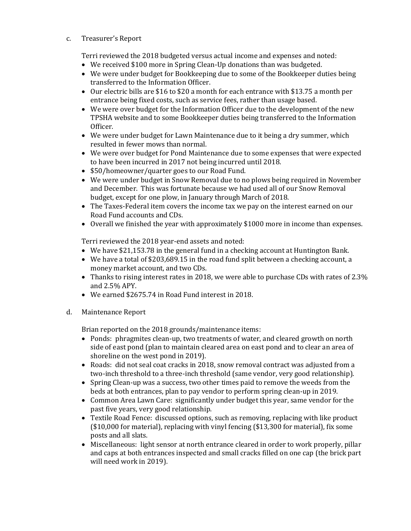c. Treasurer's Report

Terri reviewed the 2018 budgeted versus actual income and expenses and noted:

- We received \$100 more in Spring Clean-Up donations than was budgeted.
- We were under budget for Bookkeeping due to some of the Bookkeeper duties being transferred to the Information Officer.
- $\bullet$  Our electric bills are \$16 to \$20 a month for each entrance with \$13.75 a month per entrance being fixed costs, such as service fees, rather than usage based.
- We were over budget for the Information Officer due to the development of the new TPSHA website and to some Bookkeeper duties being transferred to the Information Officer.
- We were under budget for Lawn Maintenance due to it being a dry summer, which resulted in fewer mows than normal.
- We were over budget for Pond Maintenance due to some expenses that were expected to have been incurred in 2017 not being incurred until 2018.
- \$50/homeowner/quarter goes to our Road Fund.
- We were under budget in Snow Removal due to no plows being required in November and December. This was fortunate because we had used all of our Snow Removal budget, except for one plow, in January through March of 2018.
- The Taxes-Federal item covers the income tax we pay on the interest earned on our Road Fund accounts and CDs.
- Overall we finished the year with approximately \$1000 more in income than expenses.

Terri reviewed the 2018 year-end assets and noted:

- We have \$21,153.78 in the general fund in a checking account at Huntington Bank.
- We have a total of \$203,689.15 in the road fund split between a checking account, a money market account, and two CDs.
- Thanks to rising interest rates in 2018, we were able to purchase CDs with rates of 2.3% and 2.5% APY.
- We earned \$2675.74 in Road Fund interest in 2018.
- d. Maintenance Report

Brian reported on the 2018 grounds/maintenance items:

- Ponds: phragmites clean-up, two treatments of water, and cleared growth on north side of east pond (plan to maintain cleared area on east pond and to clear an area of shoreline on the west pond in 2019).
- Roads: did not seal coat cracks in 2018, snow removal contract was adjusted from a two-inch threshold to a three-inch threshold (same vendor, very good relationship).
- Spring Clean-up was a success, two other times paid to remove the weeds from the beds at both entrances, plan to pay vendor to perform spring clean-up in 2019.
- Common Area Lawn Care: significantly under budget this year, same vendor for the past five years, very good relationship.
- Textile Road Fence: discussed options, such as removing, replacing with like product (\$10,000 for material), replacing with vinyl fencing (\$13,300 for material), fix some posts and all slats.
- Miscellaneous: light sensor at north entrance cleared in order to work properly, pillar and caps at both entrances inspected and small cracks filled on one cap (the brick part will need work in 2019).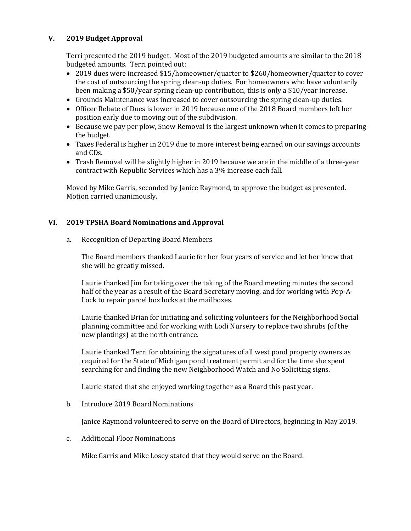#### **V. 2019 Budget Approval**

Terri presented the 2019 budget. Most of the 2019 budgeted amounts are similar to the 2018 budgeted amounts. Terri pointed out:

- 2019 dues were increased \$15/homeowner/quarter to \$260/homeowner/quarter to cover the cost of outsourcing the spring clean-up duties. For homeowners who have voluntarily been making a \$50/year spring clean-up contribution, this is only a \$10/year increase.
- Grounds Maintenance was increased to cover outsourcing the spring clean-up duties.
- Officer Rebate of Dues is lower in 2019 because one of the 2018 Board members left her position early due to moving out of the subdivision.
- Because we pay per plow, Snow Removal is the largest unknown when it comes to preparing the budget.
- Taxes Federal is higher in 2019 due to more interest being earned on our savings accounts and CDs.
- Trash Removal will be slightly higher in 2019 because we are in the middle of a three-year contract with Republic Services which has a 3% increase each fall.

Moved by Mike Garris, seconded by Janice Raymond, to approve the budget as presented. Motion carried unanimously.

#### **VI. 2019 TPSHA Board Nominations and Approval**

a. Recognition of Departing Board Members

The Board members thanked Laurie for her four years of service and let her know that she will be greatly missed.

Laurie thanked Jim for taking over the taking of the Board meeting minutes the second half of the year as a result of the Board Secretary moving, and for working with Pop-A-Lock to repair parcel box locks at the mailboxes.

Laurie thanked Brian for initiating and soliciting volunteers for the Neighborhood Social planning committee and for working with Lodi Nursery to replace two shrubs (of the new plantings) at the north entrance.

Laurie thanked Terri for obtaining the signatures of all west pond property owners as required for the State of Michigan pond treatment permit and for the time she spent searching for and finding the new Neighborhood Watch and No Soliciting signs.

Laurie stated that she enjoyed working together as a Board this past year.

#### b. Introduce 2019 Board Nominations

Janice Raymond volunteered to serve on the Board of Directors, beginning in May 2019.

c. Additional Floor Nominations

Mike Garris and Mike Losey stated that they would serve on the Board.